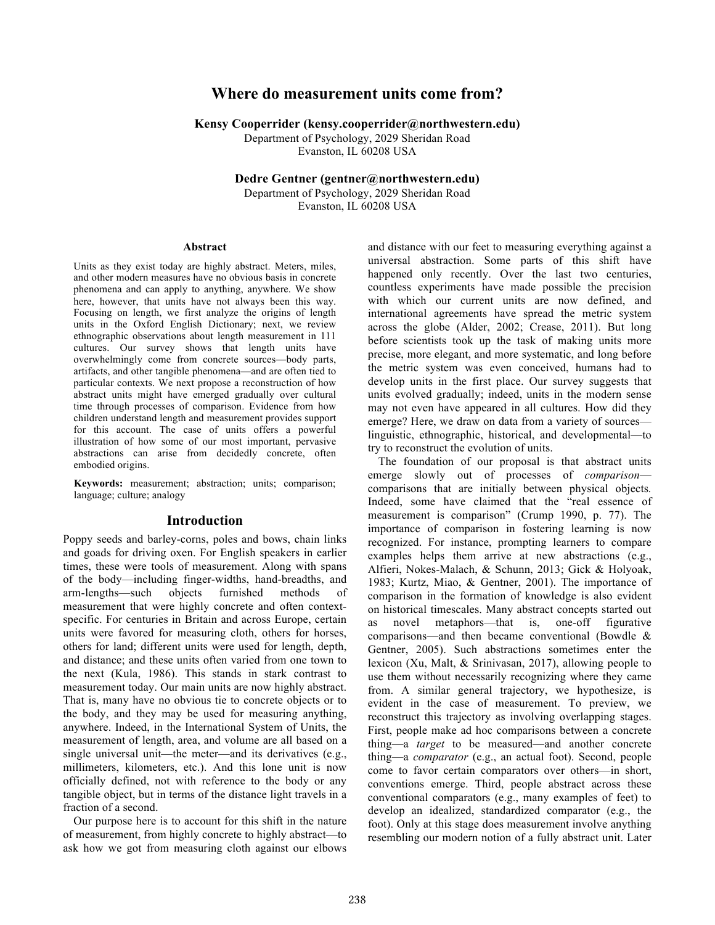# **Where do measurement units come from?**

**Kensy Cooperrider (kensy.cooperrider@northwestern.edu)**

Department of Psychology, 2029 Sheridan Road Evanston, IL 60208 USA

**Dedre Gentner (gentner@northwestern.edu)**

Department of Psychology, 2029 Sheridan Road Evanston, IL 60208 USA

#### **Abstract**

Units as they exist today are highly abstract. Meters, miles, and other modern measures have no obvious basis in concrete phenomena and can apply to anything, anywhere. We show here, however, that units have not always been this way. Focusing on length, we first analyze the origins of length units in the Oxford English Dictionary; next, we review ethnographic observations about length measurement in 111 cultures. Our survey shows that length units have overwhelmingly come from concrete sources—body parts, artifacts, and other tangible phenomena—and are often tied to particular contexts. We next propose a reconstruction of how abstract units might have emerged gradually over cultural time through processes of comparison. Evidence from how children understand length and measurement provides support for this account. The case of units offers a powerful illustration of how some of our most important, pervasive abstractions can arise from decidedly concrete, often embodied origins.

**Keywords:** measurement; abstraction; units; comparison; language; culture; analogy

#### **Introduction**

Poppy seeds and barley-corns, poles and bows, chain links and goads for driving oxen. For English speakers in earlier times, these were tools of measurement. Along with spans of the body—including finger-widths, hand-breadths, and arm-lengths—such objects furnished methods of measurement that were highly concrete and often contextspecific. For centuries in Britain and across Europe, certain units were favored for measuring cloth, others for horses, others for land; different units were used for length, depth, and distance; and these units often varied from one town to the next (Kula, 1986). This stands in stark contrast to measurement today. Our main units are now highly abstract. That is, many have no obvious tie to concrete objects or to the body, and they may be used for measuring anything, anywhere. Indeed, in the International System of Units, the measurement of length, area, and volume are all based on a single universal unit—the meter—and its derivatives (e.g., millimeters, kilometers, etc.). And this lone unit is now officially defined, not with reference to the body or any tangible object, but in terms of the distance light travels in a fraction of a second.

Our purpose here is to account for this shift in the nature of measurement, from highly concrete to highly abstract—to ask how we got from measuring cloth against our elbows and distance with our feet to measuring everything against a universal abstraction. Some parts of this shift have happened only recently. Over the last two centuries, countless experiments have made possible the precision with which our current units are now defined, and international agreements have spread the metric system across the globe (Alder, 2002; Crease, 2011). But long before scientists took up the task of making units more precise, more elegant, and more systematic, and long before the metric system was even conceived, humans had to develop units in the first place. Our survey suggests that units evolved gradually; indeed, units in the modern sense may not even have appeared in all cultures. How did they emerge? Here, we draw on data from a variety of sources linguistic, ethnographic, historical, and developmental—to try to reconstruct the evolution of units.

The foundation of our proposal is that abstract units emerge slowly out of processes of *comparison* comparisons that are initially between physical objects*.*  Indeed, some have claimed that the "real essence of measurement is comparison" (Crump 1990, p. 77). The importance of comparison in fostering learning is now recognized. For instance, prompting learners to compare examples helps them arrive at new abstractions (e.g., Alfieri, Nokes-Malach, & Schunn, 2013; Gick & Holyoak, 1983; Kurtz, Miao, & Gentner, 2001). The importance of comparison in the formation of knowledge is also evident on historical timescales. Many abstract concepts started out novel metaphors—that is, one-off figurative comparisons—and then became conventional (Bowdle & Gentner, 2005). Such abstractions sometimes enter the lexicon (Xu, Malt, & Srinivasan, 2017), allowing people to use them without necessarily recognizing where they came from. A similar general trajectory, we hypothesize, is evident in the case of measurement. To preview, we reconstruct this trajectory as involving overlapping stages. First, people make ad hoc comparisons between a concrete thing—a *target* to be measured—and another concrete thing—a *comparator* (e.g., an actual foot). Second, people come to favor certain comparators over others—in short, conventions emerge. Third, people abstract across these conventional comparators (e.g., many examples of feet) to develop an idealized, standardized comparator (e.g., the foot). Only at this stage does measurement involve anything resembling our modern notion of a fully abstract unit. Later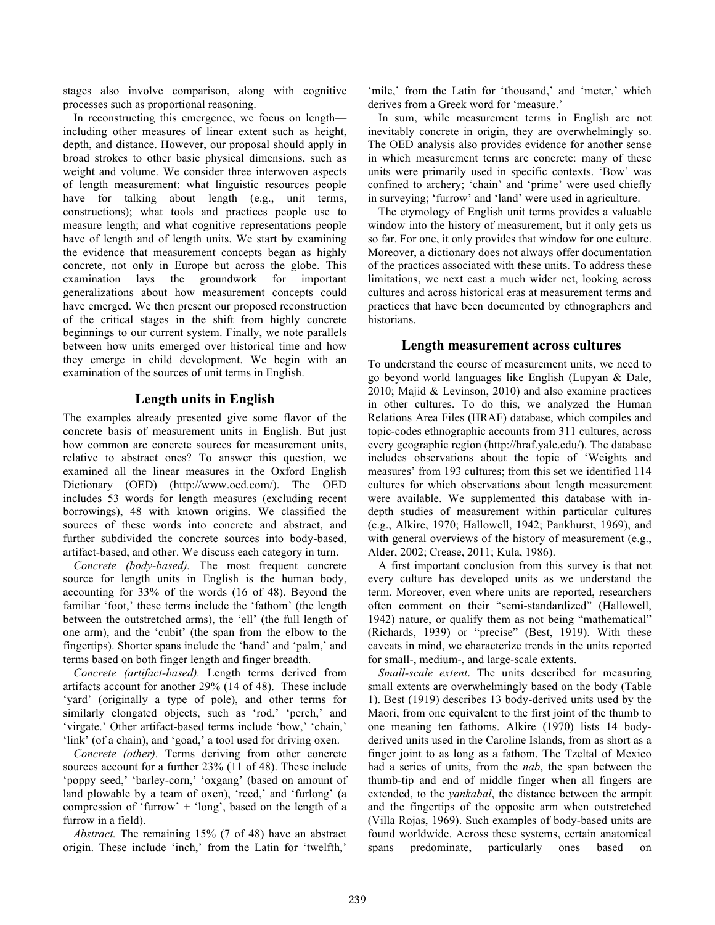stages also involve comparison, along with cognitive processes such as proportional reasoning.

In reconstructing this emergence, we focus on length including other measures of linear extent such as height, depth, and distance. However, our proposal should apply in broad strokes to other basic physical dimensions, such as weight and volume. We consider three interwoven aspects of length measurement: what linguistic resources people have for talking about length (e.g., unit terms, constructions); what tools and practices people use to measure length; and what cognitive representations people have of length and of length units. We start by examining the evidence that measurement concepts began as highly concrete, not only in Europe but across the globe. This examination lays the groundwork for important generalizations about how measurement concepts could have emerged. We then present our proposed reconstruction of the critical stages in the shift from highly concrete beginnings to our current system. Finally, we note parallels between how units emerged over historical time and how they emerge in child development. We begin with an examination of the sources of unit terms in English.

# **Length units in English**

The examples already presented give some flavor of the concrete basis of measurement units in English. But just how common are concrete sources for measurement units, relative to abstract ones? To answer this question, we examined all the linear measures in the Oxford English Dictionary (OED) (http://www.oed.com/). The OED includes 53 words for length measures (excluding recent borrowings), 48 with known origins. We classified the sources of these words into concrete and abstract, and further subdivided the concrete sources into body-based, artifact-based, and other. We discuss each category in turn.

*Concrete (body-based).* The most frequent concrete source for length units in English is the human body, accounting for 33% of the words (16 of 48). Beyond the familiar 'foot,' these terms include the 'fathom' (the length between the outstretched arms), the 'ell' (the full length of one arm), and the 'cubit' (the span from the elbow to the fingertips). Shorter spans include the 'hand' and 'palm,' and terms based on both finger length and finger breadth.

*Concrete (artifact-based).* Length terms derived from artifacts account for another 29% (14 of 48). These include 'yard' (originally a type of pole), and other terms for similarly elongated objects, such as 'rod,' 'perch,' and 'virgate.' Other artifact-based terms include 'bow,' 'chain,' 'link' (of a chain), and 'goad,' a tool used for driving oxen.

*Concrete (other).* Terms deriving from other concrete sources account for a further 23% (11 of 48). These include 'poppy seed,' 'barley-corn,' 'oxgang' (based on amount of land plowable by a team of oxen), 'reed,' and 'furlong' (a compression of 'furrow' + 'long', based on the length of a furrow in a field).

*Abstract.* The remaining 15% (7 of 48) have an abstract origin. These include 'inch,' from the Latin for 'twelfth,'

'mile,' from the Latin for 'thousand,' and 'meter,' which derives from a Greek word for 'measure.'

In sum, while measurement terms in English are not inevitably concrete in origin, they are overwhelmingly so. The OED analysis also provides evidence for another sense in which measurement terms are concrete: many of these units were primarily used in specific contexts. 'Bow' was confined to archery; 'chain' and 'prime' were used chiefly in surveying; 'furrow' and 'land' were used in agriculture.

The etymology of English unit terms provides a valuable window into the history of measurement, but it only gets us so far. For one, it only provides that window for one culture. Moreover, a dictionary does not always offer documentation of the practices associated with these units. To address these limitations, we next cast a much wider net, looking across cultures and across historical eras at measurement terms and practices that have been documented by ethnographers and historians.

### **Length measurement across cultures**

To understand the course of measurement units, we need to go beyond world languages like English (Lupyan & Dale, 2010; Majid & Levinson, 2010) and also examine practices in other cultures. To do this, we analyzed the Human Relations Area Files (HRAF) database, which compiles and topic-codes ethnographic accounts from 311 cultures, across every geographic region (http://hraf.yale.edu/). The database includes observations about the topic of 'Weights and measures' from 193 cultures; from this set we identified 114 cultures for which observations about length measurement were available. We supplemented this database with indepth studies of measurement within particular cultures (e.g., Alkire, 1970; Hallowell, 1942; Pankhurst, 1969), and with general overviews of the history of measurement (e.g., Alder, 2002; Crease, 2011; Kula, 1986).

A first important conclusion from this survey is that not every culture has developed units as we understand the term. Moreover, even where units are reported, researchers often comment on their "semi-standardized" (Hallowell, 1942) nature, or qualify them as not being "mathematical" (Richards, 1939) or "precise" (Best, 1919). With these caveats in mind, we characterize trends in the units reported for small-, medium-, and large-scale extents.

*Small-scale extent*. The units described for measuring small extents are overwhelmingly based on the body (Table 1). Best (1919) describes 13 body-derived units used by the Maori, from one equivalent to the first joint of the thumb to one meaning ten fathoms. Alkire (1970) lists 14 bodyderived units used in the Caroline Islands, from as short as a finger joint to as long as a fathom. The Tzeltal of Mexico had a series of units, from the *nab*, the span between the thumb-tip and end of middle finger when all fingers are extended, to the *yankabal*, the distance between the armpit and the fingertips of the opposite arm when outstretched (Villa Rojas, 1969). Such examples of body-based units are found worldwide. Across these systems, certain anatomical spans predominate, particularly ones based on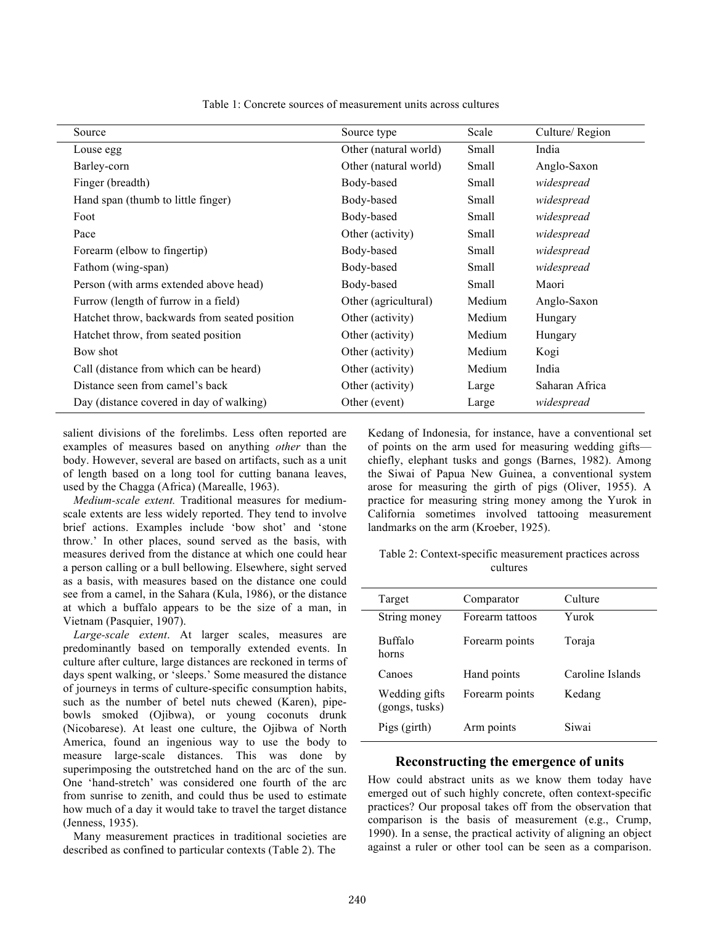| Source                                        | Source type           | Scale  | Culture/Region |
|-----------------------------------------------|-----------------------|--------|----------------|
| Louse egg                                     | Other (natural world) | Small  | India          |
| Barley-corn                                   | Other (natural world) | Small  | Anglo-Saxon    |
| Finger (breadth)                              | Body-based            | Small  | widespread     |
| Hand span (thumb to little finger)            | Body-based            | Small  | widespread     |
| Foot                                          | Body-based            | Small  | widespread     |
| Pace                                          | Other (activity)      | Small  | widespread     |
| Forearm (elbow to fingertip)                  | Body-based            | Small  | widespread     |
| Fathom (wing-span)                            | Body-based            | Small  | widespread     |
| Person (with arms extended above head)        | Body-based            | Small  | Maori          |
| Furrow (length of furrow in a field)          | Other (agricultural)  | Medium | Anglo-Saxon    |
| Hatchet throw, backwards from seated position | Other (activity)      | Medium | Hungary        |
| Hatchet throw, from seated position           | Other (activity)      | Medium | Hungary        |
| Bow shot                                      | Other (activity)      | Medium | Kogi           |
| Call (distance from which can be heard)       | Other (activity)      | Medium | India          |
| Distance seen from camel's back               | Other (activity)      | Large  | Saharan Africa |
| Day (distance covered in day of walking)      | Other (event)         | Large  | widespread     |

Table 1: Concrete sources of measurement units across cultures

salient divisions of the forelimbs. Less often reported are examples of measures based on anything *other* than the body. However, several are based on artifacts, such as a unit of length based on a long tool for cutting banana leaves, used by the Chagga (Africa) (Marealle, 1963).

*Medium-scale extent.* Traditional measures for mediumscale extents are less widely reported. They tend to involve brief actions. Examples include 'bow shot' and 'stone throw.' In other places, sound served as the basis, with measures derived from the distance at which one could hear a person calling or a bull bellowing. Elsewhere, sight served as a basis, with measures based on the distance one could see from a camel, in the Sahara (Kula, 1986), or the distance at which a buffalo appears to be the size of a man, in Vietnam (Pasquier, 1907).

*Large-scale extent*. At larger scales, measures are predominantly based on temporally extended events. In culture after culture, large distances are reckoned in terms of days spent walking, or 'sleeps.' Some measured the distance of journeys in terms of culture-specific consumption habits, such as the number of betel nuts chewed (Karen), pipebowls smoked (Ojibwa), or young coconuts drunk (Nicobarese). At least one culture, the Ojibwa of North America, found an ingenious way to use the body to measure large-scale distances. This was done by superimposing the outstretched hand on the arc of the sun. One 'hand-stretch' was considered one fourth of the arc from sunrise to zenith, and could thus be used to estimate how much of a day it would take to travel the target distance (Jenness, 1935).

Many measurement practices in traditional societies are described as confined to particular contexts (Table 2). The

Kedang of Indonesia, for instance, have a conventional set of points on the arm used for measuring wedding gifts chiefly, elephant tusks and gongs (Barnes, 1982). Among the Siwai of Papua New Guinea, a conventional system arose for measuring the girth of pigs (Oliver, 1955). A practice for measuring string money among the Yurok in California sometimes involved tattooing measurement landmarks on the arm (Kroeber, 1925).

Table 2: Context-specific measurement practices across cultures

| Target                          | Comparator      | Culture          |
|---------------------------------|-----------------|------------------|
| String money                    | Forearm tattoos | Yurok            |
| <b>Buffalo</b><br>horns         | Forearm points  | Toraja           |
| Canoes                          | Hand points     | Caroline Islands |
| Wedding gifts<br>(gongs, tusks) | Forearm points  | Kedang           |
| Pigs (girth)                    | Arm points      | Siwai            |
|                                 |                 |                  |

#### **Reconstructing the emergence of units**

How could abstract units as we know them today have emerged out of such highly concrete, often context-specific practices? Our proposal takes off from the observation that comparison is the basis of measurement (e.g., Crump, 1990). In a sense, the practical activity of aligning an object against a ruler or other tool can be seen as a comparison.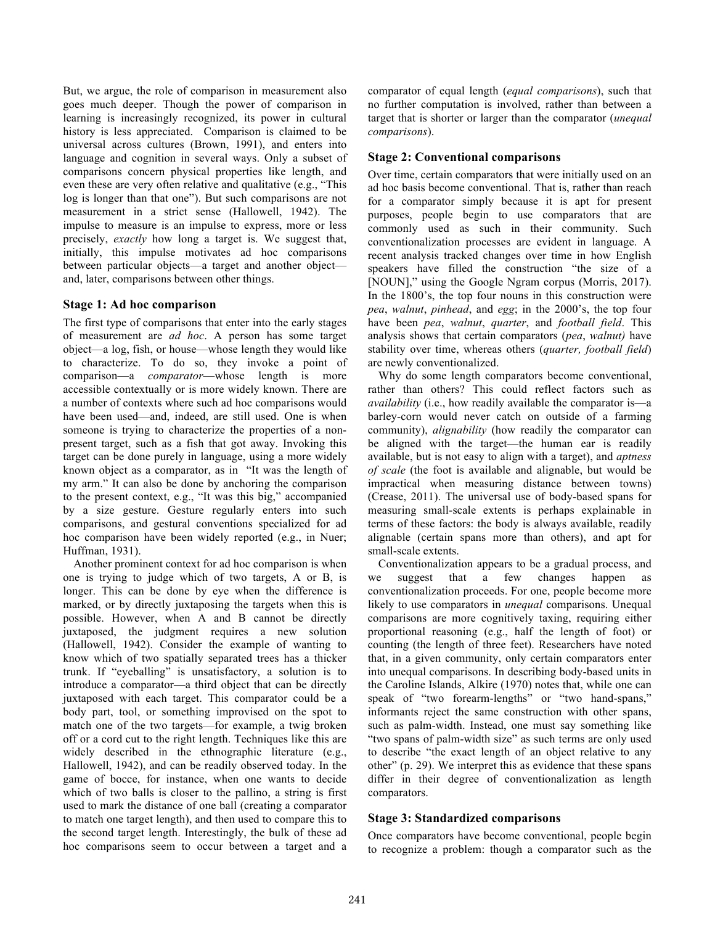But, we argue, the role of comparison in measurement also goes much deeper. Though the power of comparison in learning is increasingly recognized, its power in cultural history is less appreciated. Comparison is claimed to be universal across cultures (Brown, 1991), and enters into language and cognition in several ways. Only a subset of comparisons concern physical properties like length, and even these are very often relative and qualitative (e.g., "This log is longer than that one"). But such comparisons are not measurement in a strict sense (Hallowell, 1942). The impulse to measure is an impulse to express, more or less precisely, *exactly* how long a target is. We suggest that, initially, this impulse motivates ad hoc comparisons between particular objects—a target and another object and, later, comparisons between other things.

## **Stage 1: Ad hoc comparison**

The first type of comparisons that enter into the early stages of measurement are *ad hoc*. A person has some target object—a log, fish, or house—whose length they would like to characterize. To do so, they invoke a point of comparison—a *comparator*—whose length is more accessible contextually or is more widely known. There are a number of contexts where such ad hoc comparisons would have been used—and, indeed, are still used. One is when someone is trying to characterize the properties of a nonpresent target, such as a fish that got away. Invoking this target can be done purely in language, using a more widely known object as a comparator, as in "It was the length of my arm." It can also be done by anchoring the comparison to the present context, e.g., "It was this big," accompanied by a size gesture. Gesture regularly enters into such comparisons, and gestural conventions specialized for ad hoc comparison have been widely reported (e.g., in Nuer; Huffman, 1931).

Another prominent context for ad hoc comparison is when one is trying to judge which of two targets, A or B, is longer. This can be done by eye when the difference is marked, or by directly juxtaposing the targets when this is possible. However, when A and B cannot be directly juxtaposed, the judgment requires a new solution (Hallowell, 1942). Consider the example of wanting to know which of two spatially separated trees has a thicker trunk. If "eyeballing" is unsatisfactory, a solution is to introduce a comparator—a third object that can be directly juxtaposed with each target. This comparator could be a body part, tool, or something improvised on the spot to match one of the two targets—for example, a twig broken off or a cord cut to the right length. Techniques like this are widely described in the ethnographic literature (e.g., Hallowell, 1942), and can be readily observed today. In the game of bocce, for instance, when one wants to decide which of two balls is closer to the pallino, a string is first used to mark the distance of one ball (creating a comparator to match one target length), and then used to compare this to the second target length. Interestingly, the bulk of these ad hoc comparisons seem to occur between a target and a

comparator of equal length (*equal comparisons*), such that no further computation is involved, rather than between a target that is shorter or larger than the comparator (*unequal comparisons*).

### **Stage 2: Conventional comparisons**

Over time, certain comparators that were initially used on an ad hoc basis become conventional. That is, rather than reach for a comparator simply because it is apt for present purposes, people begin to use comparators that are commonly used as such in their community. Such conventionalization processes are evident in language. A recent analysis tracked changes over time in how English speakers have filled the construction "the size of a [NOUN]," using the Google Ngram corpus (Morris, 2017). In the 1800's, the top four nouns in this construction were *pea*, *walnut*, *pinhead*, and *egg*; in the 2000's, the top four have been *pea*, *walnut*, *quarter*, and *football field*. This analysis shows that certain comparators (*pea*, *walnut)* have stability over time, whereas others (*quarter, football field*) are newly conventionalized.

Why do some length comparators become conventional, rather than others? This could reflect factors such as *availability* (i.e., how readily available the comparator is—a barley-corn would never catch on outside of a farming community), *alignability* (how readily the comparator can be aligned with the target—the human ear is readily available, but is not easy to align with a target), and *aptness of scale* (the foot is available and alignable, but would be impractical when measuring distance between towns) (Crease, 2011). The universal use of body-based spans for measuring small-scale extents is perhaps explainable in terms of these factors: the body is always available, readily alignable (certain spans more than others), and apt for small-scale extents.

Conventionalization appears to be a gradual process, and we suggest that a few changes happen as conventionalization proceeds. For one, people become more likely to use comparators in *unequal* comparisons. Unequal comparisons are more cognitively taxing, requiring either proportional reasoning (e.g., half the length of foot) or counting (the length of three feet). Researchers have noted that, in a given community, only certain comparators enter into unequal comparisons. In describing body-based units in the Caroline Islands, Alkire (1970) notes that, while one can speak of "two forearm-lengths" or "two hand-spans," informants reject the same construction with other spans, such as palm-width. Instead, one must say something like "two spans of palm-width size" as such terms are only used to describe "the exact length of an object relative to any other" (p. 29). We interpret this as evidence that these spans differ in their degree of conventionalization as length comparators.

## **Stage 3: Standardized comparisons**

Once comparators have become conventional, people begin to recognize a problem: though a comparator such as the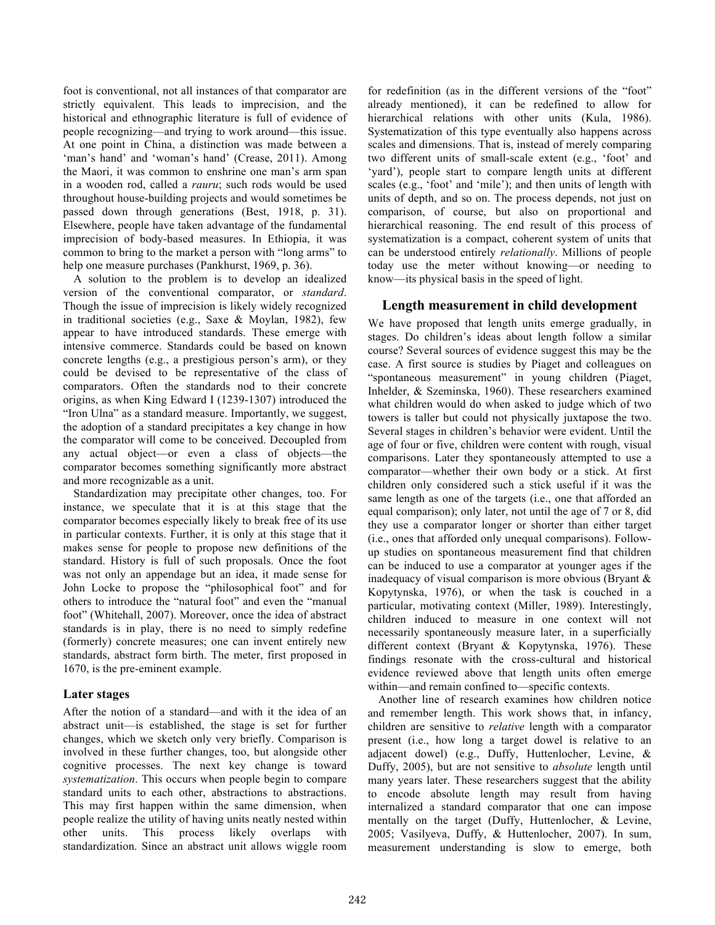foot is conventional, not all instances of that comparator are strictly equivalent. This leads to imprecision, and the historical and ethnographic literature is full of evidence of people recognizing—and trying to work around—this issue. At one point in China, a distinction was made between a 'man's hand' and 'woman's hand' (Crease, 2011). Among the Maori, it was common to enshrine one man's arm span in a wooden rod, called a *rauru*; such rods would be used throughout house-building projects and would sometimes be passed down through generations (Best, 1918, p. 31). Elsewhere, people have taken advantage of the fundamental imprecision of body-based measures. In Ethiopia, it was common to bring to the market a person with "long arms" to help one measure purchases (Pankhurst, 1969, p. 36).

A solution to the problem is to develop an idealized version of the conventional comparator, or *standard*. Though the issue of imprecision is likely widely recognized in traditional societies (e.g., Saxe & Moylan, 1982), few appear to have introduced standards. These emerge with intensive commerce. Standards could be based on known concrete lengths (e.g., a prestigious person's arm), or they could be devised to be representative of the class of comparators. Often the standards nod to their concrete origins, as when King Edward I (1239-1307) introduced the "Iron Ulna" as a standard measure. Importantly, we suggest, the adoption of a standard precipitates a key change in how the comparator will come to be conceived. Decoupled from any actual object—or even a class of objects—the comparator becomes something significantly more abstract and more recognizable as a unit.

Standardization may precipitate other changes, too. For instance, we speculate that it is at this stage that the comparator becomes especially likely to break free of its use in particular contexts. Further, it is only at this stage that it makes sense for people to propose new definitions of the standard. History is full of such proposals. Once the foot was not only an appendage but an idea, it made sense for John Locke to propose the "philosophical foot" and for others to introduce the "natural foot" and even the "manual foot" (Whitehall, 2007). Moreover, once the idea of abstract standards is in play, there is no need to simply redefine (formerly) concrete measures; one can invent entirely new standards, abstract form birth. The meter, first proposed in 1670, is the pre-eminent example.

## **Later stages**

After the notion of a standard—and with it the idea of an abstract unit—is established, the stage is set for further changes, which we sketch only very briefly. Comparison is involved in these further changes, too, but alongside other cognitive processes. The next key change is toward *systematization*. This occurs when people begin to compare standard units to each other, abstractions to abstractions. This may first happen within the same dimension, when people realize the utility of having units neatly nested within other units. This process likely overlaps with standardization. Since an abstract unit allows wiggle room for redefinition (as in the different versions of the "foot" already mentioned), it can be redefined to allow for hierarchical relations with other units (Kula, 1986). Systematization of this type eventually also happens across scales and dimensions. That is, instead of merely comparing two different units of small-scale extent (e.g., 'foot' and 'yard'), people start to compare length units at different scales (e.g., 'foot' and 'mile'); and then units of length with units of depth, and so on. The process depends, not just on comparison, of course, but also on proportional and hierarchical reasoning. The end result of this process of systematization is a compact, coherent system of units that can be understood entirely *relationally*. Millions of people today use the meter without knowing—or needing to know—its physical basis in the speed of light.

# **Length measurement in child development**

We have proposed that length units emerge gradually, in stages. Do children's ideas about length follow a similar course? Several sources of evidence suggest this may be the case. A first source is studies by Piaget and colleagues on "spontaneous measurement" in young children (Piaget, Inhelder, & Szeminska, 1960). These researchers examined what children would do when asked to judge which of two towers is taller but could not physically juxtapose the two. Several stages in children's behavior were evident. Until the age of four or five, children were content with rough, visual comparisons. Later they spontaneously attempted to use a comparator—whether their own body or a stick. At first children only considered such a stick useful if it was the same length as one of the targets (i.e., one that afforded an equal comparison); only later, not until the age of 7 or 8, did they use a comparator longer or shorter than either target (i.e., ones that afforded only unequal comparisons). Followup studies on spontaneous measurement find that children can be induced to use a comparator at younger ages if the inadequacy of visual comparison is more obvious (Bryant & Kopytynska, 1976), or when the task is couched in a particular, motivating context (Miller, 1989). Interestingly, children induced to measure in one context will not necessarily spontaneously measure later, in a superficially different context (Bryant & Kopytynska, 1976). These findings resonate with the cross-cultural and historical evidence reviewed above that length units often emerge within—and remain confined to—specific contexts.

Another line of research examines how children notice and remember length. This work shows that, in infancy, children are sensitive to *relative* length with a comparator present (i.e., how long a target dowel is relative to an adjacent dowel) (e.g., Duffy, Huttenlocher, Levine, & Duffy, 2005), but are not sensitive to *absolute* length until many years later. These researchers suggest that the ability to encode absolute length may result from having internalized a standard comparator that one can impose mentally on the target (Duffy, Huttenlocher, & Levine, 2005; Vasilyeva, Duffy, & Huttenlocher, 2007). In sum, measurement understanding is slow to emerge, both